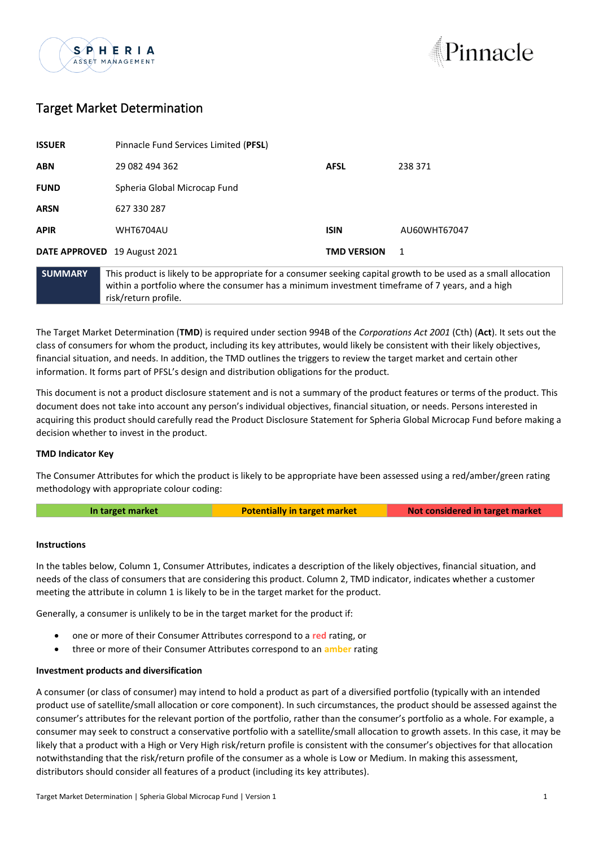



# Target Market Determination

| SUMMARY                      | This product is likely to be appropriate for a consumer seeking capital growth to be used as a sm |                    |              |
|------------------------------|---------------------------------------------------------------------------------------------------|--------------------|--------------|
| DATE APPROVED 19 August 2021 |                                                                                                   | <b>TMD VERSION</b> | 1            |
| <b>APIR</b>                  | WHT6704AU                                                                                         | <b>ISIN</b>        | AU60WHT67047 |
| <b>ARSN</b>                  | 627 330 287                                                                                       |                    |              |
| <b>FUND</b>                  | Spheria Global Microcap Fund                                                                      |                    |              |
| <b>ABN</b>                   | 29 082 494 362                                                                                    | <b>AFSL</b>        | 238 371      |
| <b>ISSUER</b>                | Pinnacle Fund Services Limited (PFSL)                                                             |                    |              |

**SUMMARY** This product is likely to be appropriate for a consumer seeking capital growth to be used as a small allocation within a portfolio where the consumer has a minimum investment timeframe of 7 years, and a high risk/return profile.

The Target Market Determination (**TMD**) is required under section 994B of the *Corporations Act 2001* (Cth) (**Act**). It sets out the class of consumers for whom the product, including its key attributes, would likely be consistent with their likely objectives, financial situation, and needs. In addition, the TMD outlines the triggers to review the target market and certain other information. It forms part of PFSL's design and distribution obligations for the product.

This document is not a product disclosure statement and is not a summary of the product features or terms of the product. This document does not take into account any person's individual objectives, financial situation, or needs. Persons interested in acquiring this product should carefully read the Product Disclosure Statement for Spheria Global Microcap Fund before making a decision whether to invest in the product.

## **TMD Indicator Key**

The Consumer Attributes for which the product is likely to be appropriate have been assessed using a red/amber/green rating methodology with appropriate colour coding:

**In target market <b>Potentially in target market Not considered in target market** 

#### **Instructions**

In the tables below, Column 1, Consumer Attributes, indicates a description of the likely objectives, financial situation, and needs of the class of consumers that are considering this product. Column 2, TMD indicator, indicates whether a customer meeting the attribute in column 1 is likely to be in the target market for the product.

Generally, a consumer is unlikely to be in the target market for the product if:

- one or more of their Consumer Attributes correspond to a **red** rating, or
- three or more of their Consumer Attributes correspond to an **amber** rating

### **Investment products and diversification**

A consumer (or class of consumer) may intend to hold a product as part of a diversified portfolio (typically with an intended product use of satellite/small allocation or core component). In such circumstances, the product should be assessed against the consumer's attributes for the relevant portion of the portfolio, rather than the consumer's portfolio as a whole. For example, a consumer may seek to construct a conservative portfolio with a satellite/small allocation to growth assets. In this case, it may be likely that a product with a High or Very High risk/return profile is consistent with the consumer's objectives for that allocation notwithstanding that the risk/return profile of the consumer as a whole is Low or Medium. In making this assessment, distributors should consider all features of a product (including its key attributes).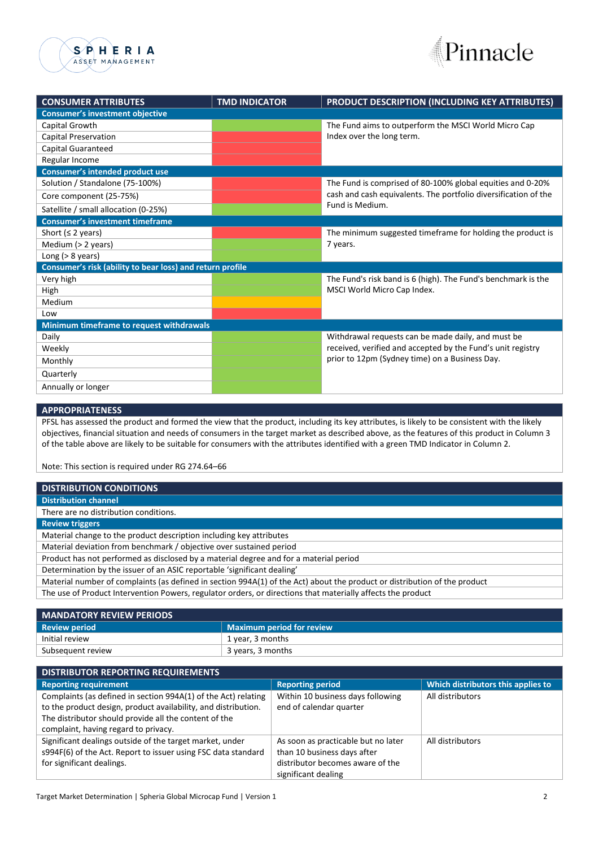



| <b>CONSUMER ATTRIBUTES</b>                                | <b>TMD INDICATOR</b> | PRODUCT DESCRIPTION (INCLUDING KEY ATTRIBUTES)                  |  |  |
|-----------------------------------------------------------|----------------------|-----------------------------------------------------------------|--|--|
| <b>Consumer's investment objective</b>                    |                      |                                                                 |  |  |
| Capital Growth                                            |                      | The Fund aims to outperform the MSCI World Micro Cap            |  |  |
| Capital Preservation                                      |                      | Index over the long term.                                       |  |  |
| Capital Guaranteed                                        |                      |                                                                 |  |  |
| Regular Income                                            |                      |                                                                 |  |  |
| Consumer's intended product use                           |                      |                                                                 |  |  |
| Solution / Standalone (75-100%)                           |                      | The Fund is comprised of 80-100% global equities and 0-20%      |  |  |
| Core component (25-75%)                                   |                      | cash and cash equivalents. The portfolio diversification of the |  |  |
| Satellite / small allocation (0-25%)                      |                      | Fund is Medium.                                                 |  |  |
| <b>Consumer's investment timeframe</b>                    |                      |                                                                 |  |  |
| Short ( $\leq$ 2 years)                                   |                      | The minimum suggested timeframe for holding the product is      |  |  |
| Medium (> 2 years)                                        |                      | 7 years.                                                        |  |  |
| Long ( $> 8$ years)                                       |                      |                                                                 |  |  |
| Consumer's risk (ability to bear loss) and return profile |                      |                                                                 |  |  |
| Very high                                                 |                      | The Fund's risk band is 6 (high). The Fund's benchmark is the   |  |  |
| High                                                      |                      | MSCI World Micro Cap Index.                                     |  |  |
| Medium                                                    |                      |                                                                 |  |  |
| Low                                                       |                      |                                                                 |  |  |
| Minimum timeframe to request withdrawals                  |                      |                                                                 |  |  |
| Daily                                                     |                      | Withdrawal requests can be made daily, and must be              |  |  |
| Weekly                                                    |                      | received, verified and accepted by the Fund's unit registry     |  |  |
| Monthly                                                   |                      | prior to 12pm (Sydney time) on a Business Day.                  |  |  |
| Quarterly                                                 |                      |                                                                 |  |  |
| Annually or longer                                        |                      |                                                                 |  |  |

#### **APPROPRIATENESS**

PFSL has assessed the product and formed the view that the product, including its key attributes, is likely to be consistent with the likely objectives, financial situation and needs of consumers in the target market as described above, as the features of this product in Column 3 of the table above are likely to be suitable for consumers with the attributes identified with a green TMD Indicator in Column 2.

Note: This section is required under RG 274.64–66

| <b>DISTRIBUTION CONDITIONS</b>                                                                                            |  |
|---------------------------------------------------------------------------------------------------------------------------|--|
| <b>Distribution channel</b>                                                                                               |  |
| There are no distribution conditions.                                                                                     |  |
| <b>Review triggers</b>                                                                                                    |  |
| Material change to the product description including key attributes                                                       |  |
| Material deviation from benchmark / objective over sustained period                                                       |  |
| Product has not performed as disclosed by a material degree and for a material period                                     |  |
| Determination by the issuer of an ASIC reportable 'significant dealing'                                                   |  |
| Material number of complaints (as defined in section 994A(1) of the Act) about the product or distribution of the product |  |
| The use of Product Intervention Powers, regulator orders, or directions that materially affects the product               |  |
|                                                                                                                           |  |

| <b>MANDATORY REVIEW PERIODS</b> |                                  |  |
|---------------------------------|----------------------------------|--|
| <b>Review period</b>            | <b>Maximum period for review</b> |  |
| Initial review                  | 1 year, 3 months                 |  |
| Subsequent review               | 3 years, 3 months                |  |

| <b>DISTRIBUTOR REPORTING REQUIREMENTS</b>                                                                                                                                                                                         |                                                                                                                               |                                    |  |  |
|-----------------------------------------------------------------------------------------------------------------------------------------------------------------------------------------------------------------------------------|-------------------------------------------------------------------------------------------------------------------------------|------------------------------------|--|--|
| <b>Reporting requirement</b>                                                                                                                                                                                                      | <b>Reporting period</b>                                                                                                       | Which distributors this applies to |  |  |
| Complaints (as defined in section 994A(1) of the Act) relating<br>to the product design, product availability, and distribution.<br>The distributor should provide all the content of the<br>complaint, having regard to privacy. | Within 10 business days following<br>end of calendar quarter                                                                  | All distributors                   |  |  |
| Significant dealings outside of the target market, under<br>s994F(6) of the Act. Report to issuer using FSC data standard<br>for significant dealings.                                                                            | As soon as practicable but no later<br>than 10 business days after<br>distributor becomes aware of the<br>significant dealing | All distributors                   |  |  |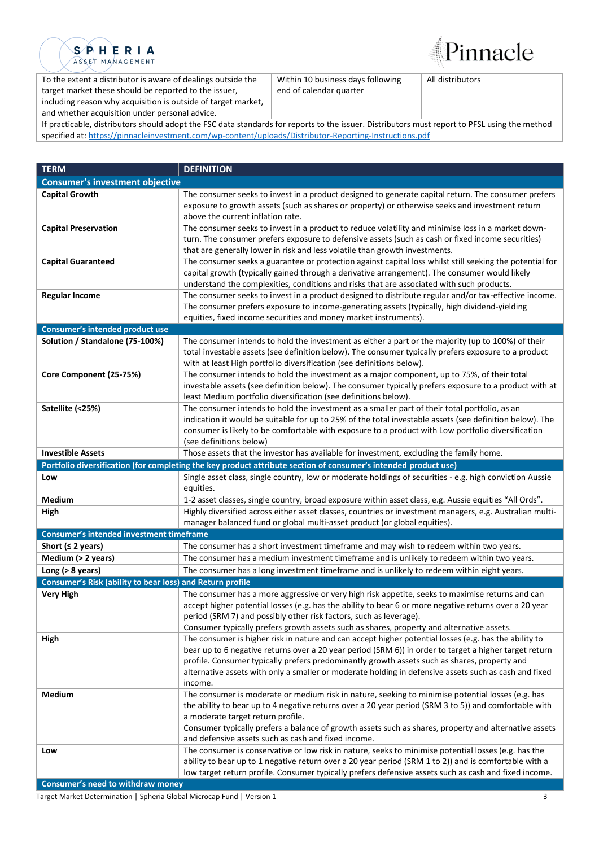



To the extent a distributor is aware of dealings outside the target market these should be reported to the issuer, including reason why acquisition is outside of target market, and whether acquisition under personal advice.

Within 10 business days following end of calendar quarter

All distributors

If practicable, distributors should adopt the FSC data standards for reports to the issuer. Distributors must report to PFSL using the method specified at: [https://pinnacleinvestment.com/wp-content/uploads/Distributor-Reporting-Instructions.pdf](https://aus01.safelinks.protection.outlook.com/?url=https%3A%2F%2Fpinnacleinvestment.com%2Fwp-content%2Fuploads%2FDistributor-Reporting-Instructions.pdf&data=04%7C01%7CRobbie.Zhong%40pinnacleinvestment.com%7Cb4c1b788df954b03f26408d9675577fa%7C35cf8e31ecbc469399faa3d4d4dbd0de%7C0%7C0%7C637654439063852174%7CUnknown%7CTWFpbGZsb3d8eyJWIjoiMC4wLjAwMDAiLCJQIjoiV2luMzIiLCJBTiI6Ik1haWwiLCJXVCI6Mn0%3D%7C1000&sdata=z3%2BDpshdl6t4wDnSgUIdZS0YIuaCk9GXg1FCwIAbEV4%3D&reserved=0)

| <b>TERM</b>                                               | <b>DEFINITION</b>                                                                                                                                            |  |
|-----------------------------------------------------------|--------------------------------------------------------------------------------------------------------------------------------------------------------------|--|
| <b>Consumer's investment objective</b>                    |                                                                                                                                                              |  |
| <b>Capital Growth</b>                                     | The consumer seeks to invest in a product designed to generate capital return. The consumer prefers                                                          |  |
|                                                           | exposure to growth assets (such as shares or property) or otherwise seeks and investment return                                                              |  |
|                                                           | above the current inflation rate.                                                                                                                            |  |
| <b>Capital Preservation</b>                               | The consumer seeks to invest in a product to reduce volatility and minimise loss in a market down-                                                           |  |
|                                                           | turn. The consumer prefers exposure to defensive assets (such as cash or fixed income securities)                                                            |  |
|                                                           | that are generally lower in risk and less volatile than growth investments.                                                                                  |  |
| <b>Capital Guaranteed</b>                                 | The consumer seeks a guarantee or protection against capital loss whilst still seeking the potential for                                                     |  |
|                                                           | capital growth (typically gained through a derivative arrangement). The consumer would likely                                                                |  |
|                                                           | understand the complexities, conditions and risks that are associated with such products.                                                                    |  |
| <b>Regular Income</b>                                     | The consumer seeks to invest in a product designed to distribute regular and/or tax-effective income.                                                        |  |
|                                                           | The consumer prefers exposure to income-generating assets (typically, high dividend-yielding                                                                 |  |
| Consumer's intended product use                           | equities, fixed income securities and money market instruments).                                                                                             |  |
| Solution / Standalone (75-100%)                           | The consumer intends to hold the investment as either a part or the majority (up to 100%) of their                                                           |  |
|                                                           | total investable assets (see definition below). The consumer typically prefers exposure to a product                                                         |  |
|                                                           | with at least High portfolio diversification (see definitions below).                                                                                        |  |
| Core Component (25-75%)                                   | The consumer intends to hold the investment as a major component, up to 75%, of their total                                                                  |  |
|                                                           | investable assets (see definition below). The consumer typically prefers exposure to a product with at                                                       |  |
|                                                           | least Medium portfolio diversification (see definitions below).                                                                                              |  |
| Satellite (<25%)                                          | The consumer intends to hold the investment as a smaller part of their total portfolio, as an                                                                |  |
|                                                           | indication it would be suitable for up to 25% of the total investable assets (see definition below). The                                                     |  |
|                                                           | consumer is likely to be comfortable with exposure to a product with Low portfolio diversification                                                           |  |
|                                                           | (see definitions below)                                                                                                                                      |  |
| <b>Investible Assets</b>                                  | Those assets that the investor has available for investment, excluding the family home.                                                                      |  |
|                                                           | Portfolio diversification (for completing the key product attribute section of consumer's intended product use)                                              |  |
| Low                                                       | Single asset class, single country, low or moderate holdings of securities - e.g. high conviction Aussie                                                     |  |
|                                                           | equities.                                                                                                                                                    |  |
| Medium                                                    | 1-2 asset classes, single country, broad exposure within asset class, e.g. Aussie equities "All Ords".                                                       |  |
| High                                                      | Highly diversified across either asset classes, countries or investment managers, e.g. Australian multi-                                                     |  |
| Consumer's intended investment timeframe                  | manager balanced fund or global multi-asset product (or global equities).                                                                                    |  |
| Short ( $\leq$ 2 years)                                   | The consumer has a short investment timeframe and may wish to redeem within two years.                                                                       |  |
| Medium (> 2 years)                                        | The consumer has a medium investment timeframe and is unlikely to redeem within two years.                                                                   |  |
| Long ( $>8$ years)                                        | The consumer has a long investment timeframe and is unlikely to redeem within eight years.                                                                   |  |
| Consumer's Risk (ability to bear loss) and Return profile |                                                                                                                                                              |  |
| <b>Very High</b>                                          | The consumer has a more aggressive or very high risk appetite, seeks to maximise returns and can                                                             |  |
|                                                           | accept higher potential losses (e.g. has the ability to bear 6 or more negative returns over a 20 year                                                       |  |
|                                                           | period (SRM 7) and possibly other risk factors, such as leverage).                                                                                           |  |
|                                                           | Consumer typically prefers growth assets such as shares, property and alternative assets.                                                                    |  |
| High                                                      | The consumer is higher risk in nature and can accept higher potential losses (e.g. has the ability to                                                        |  |
|                                                           | bear up to 6 negative returns over a 20 year period (SRM 6)) in order to target a higher target return                                                       |  |
|                                                           | profile. Consumer typically prefers predominantly growth assets such as shares, property and                                                                 |  |
|                                                           | alternative assets with only a smaller or moderate holding in defensive assets such as cash and fixed                                                        |  |
|                                                           | income.                                                                                                                                                      |  |
| <b>Medium</b>                                             | The consumer is moderate or medium risk in nature, seeking to minimise potential losses (e.g. has                                                            |  |
|                                                           | the ability to bear up to 4 negative returns over a 20 year period (SRM 3 to 5)) and comfortable with                                                        |  |
|                                                           | a moderate target return profile.                                                                                                                            |  |
|                                                           | Consumer typically prefers a balance of growth assets such as shares, property and alternative assets<br>and defensive assets such as cash and fixed income. |  |
| Low                                                       | The consumer is conservative or low risk in nature, seeks to minimise potential losses (e.g. has the                                                         |  |
|                                                           | ability to bear up to 1 negative return over a 20 year period (SRM 1 to 2)) and is comfortable with a                                                        |  |
|                                                           | low target return profile. Consumer typically prefers defensive assets such as cash and fixed income.                                                        |  |
|                                                           |                                                                                                                                                              |  |

**Consumer's need to withdraw money**

Target Market Determination | Spheria Global Microcap Fund | Version 1 3